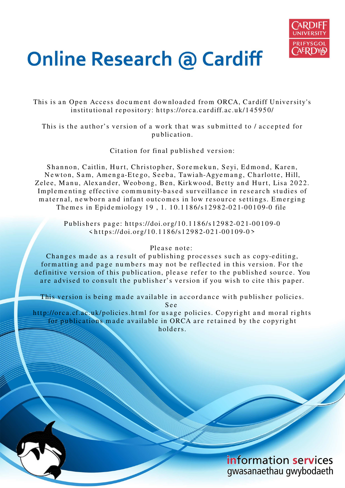

# **Online Research @ Cardiff**

This is an Open Access document downloaded from ORCA, Cardiff University's institutional repository: https://orca.cardiff.ac.uk/145950/

This is the author's version of a work that was submitted to / accepted for p u blication.

Citation for final published version:

Shannon, Caitlin, Hurt, Christopher, Soremekun, Seyi, Edmond, Karen, Newton, Sam, Amenga-Etego, Seeba, Tawiah-Agyemang, Charlotte, Hill, Zelee, Manu, Alexander, Weobong, Ben, Kirkwood, Betty and Hurt, Lisa 2022. Implementing effective community-based surveillance in research studies of maternal, newborn and infant outcomes in low resource settings. Emerging The mes in Epidemiology 19, 1. 10.1186/s12982-021-00109-0 file

> Publishers page: https://doi.org/10.1186/s12982-021-00109-0  $\langle https://doi.org/10.1186/s12982-021-00109-0 \rangle$

### Please note:

Changes made as a result of publishing processes such as copy-editing, formatting and page numbers may not be reflected in this version. For the definitive version of this publication, please refer to the published source. You are advised to consult the publisher's version if you wish to cite this paper.

This version is being made available in accordance with publisher policies. S e e

http://orca.cf.ac.uk/policies.html for usage policies. Copyright and moral rights for publications made available in ORCA are retained by the copyright holders.

> information services gwasanaethau gwybodaeth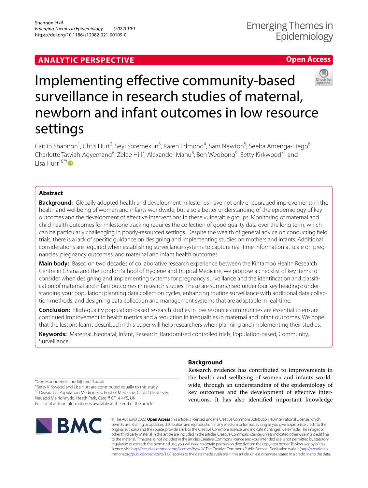# **ANALYTIC PERSPECTIVE**

## **Open Access**



# Implementing effective community-based surveillance in research studies of maternal, newborn and infant outcomes in low resource settings

Caitlin Shannon<sup>1</sup>, Chris Hurt<sup>2</sup>, Seyi Soremekun<sup>3</sup>, Karen Edmond<sup>4</sup>, Sam Newton<sup>5</sup>, Seeba Amenga-Etego<sup>6</sup>, Charlotte Tawiah-Agyemang<sup>6</sup>, Zelee Hill<sup>7</sup>, Alexander Manu<sup>8</sup>, Ben Weobong<sup>9</sup>, Betty Kirkwood<sup>3†</sup> and Lisa Hurt $10^{*}$ <sup>t</sup> $\bullet$ 

#### **Abstract**

**Background:** Globally adopted health and development milestones have not only encouraged improvements in the health and wellbeing of women and infants worldwide, but also a better understanding of the epidemiology of key outcomes and the development of effective interventions in these vulnerable groups. Monitoring of maternal and child health outcomes for milestone tracking requires the collection of good quality data over the long term, which can be particularly challenging in poorly-resourced settings. Despite the wealth of general advice on conducting field trials, there is a lack of specific guidance on designing and implementing studies on mothers and infants. Additional considerations are required when establishing surveillance systems to capture real-time information at scale on pregnancies, pregnancy outcomes, and maternal and infant health outcomes.

**Main body:** Based on two decades of collaborative research experience between the Kintampo Health Research Centre in Ghana and the London School of Hygiene and Tropical Medicine, we propose a checklist of key items to consider when designing and implementing systems for pregnancy surveillance and the identification and classification of maternal and infant outcomes in research studies. These are summarised under four key headings: understanding your population; planning data collection cycles; enhancing routine surveillance with additional data collection methods; and designing data collection and management systems that are adaptable in real-time.

**Conclusion:** High-quality population-based research studies in low resource communities are essential to ensure continued improvement in health metrics and a reduction in inequalities in maternal and infant outcomes. We hope that the lessons learnt described in this paper will help researchers when planning and implementing their studies.

**Keywords:** Maternal, Neonatal, Infant, Research, Randomised controlled trials, Population-based, Community, Surveillance

#### **Background**

Research evidence has contributed to improvements in the health and wellbeing of women and infants worldwide, through an understanding of the epidemiology of key outcomes and the development of effective interventions. It has also identified important knowledge

\*Correspondence: hurtl@cardiff.ac.uk

† Betty Kirkwood and Lisa Hurt are contributed equally to this study <sup>10</sup> Division of Population Medicine, School of Medicine, Cardiff University, Neuadd Meirionnydd, Heath Park, Cardiff CF14 4YS, UK

Full list of author information is available at the end of the article



© The Author(s) 2022. **Open Access** This article is licensed under a Creative Commons Attribution 4.0 International License, which permits use, sharing, adaptation, distribution and reproduction in any medium or format, as long as you give appropriate credit to the original author(s) and the source, provide a link to the Creative Commons licence, and indicate if changes were made. The images or other third party material in this article are included in the article's Creative Commons licence, unless indicated otherwise in a credit line to the material. If material is not included in the article's Creative Commons licence and your intended use is not permitted by statutory regulation or exceeds the permitted use, you will need to obtain permission directly from the copyright holder. To view a copy of this licence, visit http://creativecommons.org/licenses/by/4.0/. The Creative Commons Public Domain Dedication waiver (http://creativeco mmons.org/publicdomain/zero/1.0/) applies to the data made available in this article, unless otherwise stated in a credit line to the data.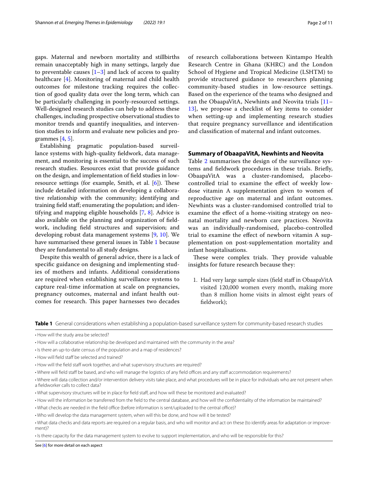gaps. Maternal and newborn mortality and stillbirths remain unacceptably high in many settings, largely due to preventable causes  $[1-3]$  $[1-3]$  and lack of access to quality healthcare [\[4](#page-10-2)]. Monitoring of maternal and child health outcomes for milestone tracking requires the collection of good quality data over the long term, which can be particularly challenging in poorly-resourced settings. Well-designed research studies can help to address these challenges, including prospective observational studies to monitor trends and quantify inequalities, and intervention studies to inform and evaluate new policies and programmes  $[4, 5]$  $[4, 5]$  $[4, 5]$  $[4, 5]$ .

Establishing pragmatic population-based surveillance systems with high-quality fieldwork, data management, and monitoring is essential to the success of such research studies. Resources exist that provide guidance on the design, and implementation of field studies in lowresource settings (for example, Smith, et al.  $[6]$  $[6]$ ). These include detailed information on developing a collaborative relationship with the community; identifying and training field staff; enumerating the population; and identifying and mapping eligible households [[7,](#page-10-5) [8](#page-10-6)]. Advice is also available on the planning and organization of fieldwork, including field structures and supervision; and developing robust data management systems [\[9](#page-10-7), [10](#page-10-8)]. We have summarised these general issues in Table [1](#page-2-0) because they are fundamental to all study designs.

Despite this wealth of general advice, there is a lack of specific guidance on designing and implementing studies of mothers and infants. Additional considerations are required when establishing surveillance systems to capture real-time information at scale on pregnancies, pregnancy outcomes, maternal and infant health outcomes for research. This paper harnesses two decades

of research collaborations between Kintampo Health Research Centre in Ghana (KHRC) and the London School of Hygiene and Tropical Medicine (LSHTM) to provide structured guidance to researchers planning community-based studies in low-resource settings. Based on the experience of the teams who designed and ran the ObaapaVitA, Newhints and Neovita trials [[11–](#page-10-9) [13\]](#page-10-10), we propose a checklist of key items to consider when setting-up and implementing research studies that require pregnancy surveillance and identification and classification of maternal and infant outcomes.

#### **Summary of ObaapaVitA, Newhints and Neovita**

Table [2](#page-3-0) summarises the design of the surveillance systems and fieldwork procedures in these trials. Briefly, ObaapaVitA was a cluster-randomised, placebocontrolled trial to examine the effect of weekly lowdose vitamin A supplementation given to women of reproductive age on maternal and infant outcomes. Newhints was a cluster-randomised controlled trial to examine the effect of a home-visiting strategy on neonatal mortality and newborn care practices. Neovita was an individually-randomised, placebo-controlled trial to examine the effect of newborn vitamin A supplementation on post-supplementation mortality and infant hospitalisations.

These were complex trials. They provide valuable insights for future research because they:

1. Had very large sample sizes (field staff in ObaapaVitA visited 120,000 women every month, making more than 8 million home visits in almost eight years of fieldwork);

<span id="page-2-0"></span>**Table 1** General considerations when establishing a population-based surveillance system for community-based research studies

- What supervisory structures will be in place for field staff, and how will these be monitored and evaluated?
- How will the information be transferred from the field to the central database, and how will the confidentiality of the information be maintained?
- What checks are needed in the field office (before information is sent/uploaded to the central office)?
- Who will develop the data management system, when will this be done, and how will it be tested?
- What data checks and data reports are required on a regular basis, and who will monitor and act on these (to identify areas for adaptation or improvement)?

• Is there capacity for the data management system to evolve to support implementation, and who will be responsible for this?

See [[6](#page-10-4)] for more detail on each aspect

<sup>•</sup> How will the study area be selected?

<sup>•</sup> How will a collaborative relationship be developed and maintained with the community in the area?

<sup>•</sup> Is there an up-to-date census of the population and a map of residences?

<sup>•</sup> How will field staff be selected and trained?

<sup>•</sup> How will the field staff work together, and what supervisory structures are required?

<sup>•</sup> Where will field staff be based, and who will manage the logistics of any field offices and any staff accommodation requirements?

<sup>•</sup> Where will data collection and/or intervention delivery visits take place, and what procedures will be in place for individuals who are not present when a fieldworker calls to collect data?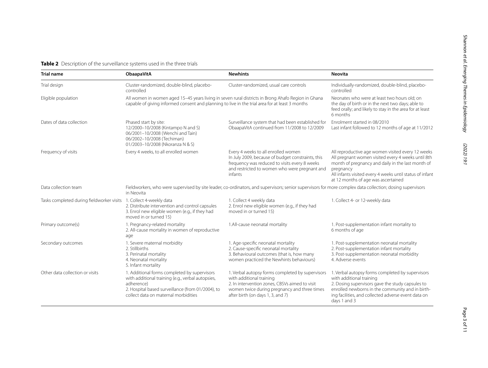<span id="page-3-0"></span>

| <b>Trial name</b>                                                  | <b>ObaapaVitA</b>                                                                                                                                                                                            | <b>Newhints</b>                                                                                                                                                                                                     | <b>Neovita</b>                                                                                                                                                                                                                                                               |  |  |  |
|--------------------------------------------------------------------|--------------------------------------------------------------------------------------------------------------------------------------------------------------------------------------------------------------|---------------------------------------------------------------------------------------------------------------------------------------------------------------------------------------------------------------------|------------------------------------------------------------------------------------------------------------------------------------------------------------------------------------------------------------------------------------------------------------------------------|--|--|--|
| Trial design                                                       | Cluster-randomized, double-blind, placebo-<br>controlled                                                                                                                                                     | Cluster-randomized, usual care controls                                                                                                                                                                             | Individually-randomized, double-blind, placebo-<br>controlled                                                                                                                                                                                                                |  |  |  |
| Eligible population                                                | All women in women aged 15-45 years living in seven rural districts in Brong Ahafo Region in Ghana<br>capable of giving informed consent and planning to live in the trial area for at least 3 months        |                                                                                                                                                                                                                     | Neonates who were at least two hours old; on<br>the day of birth or in the next two days; able to<br>feed orally; and likely to stay in the area for at least<br>6 months                                                                                                    |  |  |  |
| Dates of data collection                                           | Phased start by site:<br>12/2000-10/2008 (Kintampo N and S)<br>06/2001-10/2008 (Wenchi and Tain)<br>06/2002-10/2008 (Techiman)<br>01/2003-10/2008 (Nkoranza N & S)                                           | Surveillance system that had been established for<br>ObaapaVitA continued from 11/2008 to 12/2009                                                                                                                   | Enrolment started in 08/2010<br>Last infant followed to 12 months of age at 11/2012                                                                                                                                                                                          |  |  |  |
| Frequency of visits                                                | Every 4 weeks, to all enrolled women                                                                                                                                                                         | Every 4 weeks to all enrolled women<br>In July 2009, because of budget constraints, this<br>frequency was reduced to visits every 8 weeks<br>and restricted to women who were pregnant and<br>infants               | All reproductive age women visited every 12 weeks<br>All pregnant women visited every 4 weeks until 8th<br>month of pregnancy and daily in the last month of<br>pregnancy<br>All infants visited every 4 weeks until status of infant<br>at 12 months of age was ascertained |  |  |  |
| Data collection team                                               | Fieldworkers, who were supervised by site leader, co-ordinators, and supervisors; senior supervisors for more complex data collection; dosing supervisors<br>in Neovita                                      |                                                                                                                                                                                                                     |                                                                                                                                                                                                                                                                              |  |  |  |
| Tasks completed during fieldworker visits 1. Collect 4-weekly data | 2. Distribute intervention and control capsules<br>3. Enrol new eligible women (e.g., if they had<br>moved in or turned 15)                                                                                  | 1. Collect 4 weekly data<br>2. Enrol new eligible women (e.g., if they had<br>moved in or turned 15)                                                                                                                | 1. Collect 4- or 12-weekly data                                                                                                                                                                                                                                              |  |  |  |
| Primary outcome(s)                                                 | 1. Pregnancy-related mortality<br>2. All-cause mortality in women of reproductive<br>age                                                                                                                     | 1.All-cause neonatal mortality                                                                                                                                                                                      | 1. Post-supplementation infant mortality to<br>6 months of age                                                                                                                                                                                                               |  |  |  |
| Secondary outcomes                                                 | 1. Severe maternal morbidity<br>2. Stillbirths<br>3. Perinatal mortality<br>4. Neonatal mortality<br>5. Infant mortality                                                                                     | 1. Age-specific neonatal mortality<br>2. Cause-specific neonatal mortality<br>3. Behavioural outcomes (that is, how many<br>women practiced the Newhints behaviours)                                                | 1. Post-supplementation neonatal mortality<br>2. Post-supplementation infant mortality<br>3. Post-supplementation neonatal morbidity<br>4. Adverse events                                                                                                                    |  |  |  |
| Other data collection or visits                                    | 1. Additional forms completed by supervisors<br>with additional training (e.g., verbal autopsies,<br>adherence)<br>2. Hospital based surveillance (from 01/2004), to<br>collect data on maternal morbidities | 1. Verbal autopsy forms completed by supervisors<br>with additional training<br>2. In intervention zones, CBSVs aimed to visit<br>women twice during pregnancy and three times<br>after birth (on days 1, 3, and 7) | 1. Verbal autopsy forms completed by supervisors<br>with additional training<br>2. Dosing supervisors gave the study capsules to<br>enrolled newborns in the community and in birth-<br>ing facilities, and collected adverse event data on<br>days 1 and 3                  |  |  |  |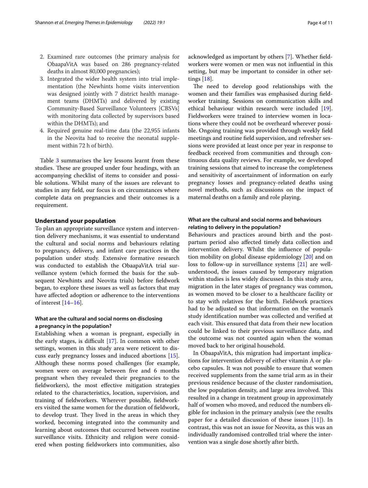- 2. Examined rare outcomes (the primary analysis for ObaapaVitA was based on 286 pregnancy-related deaths in almost 80,000 pregnancies);
- 3. Integrated the wider health system into trial implementation (the Newhints home visits intervention was designed jointly with 7 district health management teams (DHMTs) and delivered by existing Community-Based Surveillance Volunteers [CBSVs] with monitoring data collected by supervisors based within the DHMTs); and
- 4. Required genuine real-time data (the 22,955 infants in the Neovita had to receive the neonatal supplement within 72 h of birth).

Table [3](#page-5-0) summarises the key lessons learnt from these studies. These are grouped under four headings, with an accompanying checklist of items to consider and possible solutions. Whilst many of the issues are relevant to studies in any field, our focus is on circumstances where complete data on pregnancies and their outcomes is a requirement.

#### **Understand your population**

To plan an appropriate surveillance system and intervention delivery mechanisms, it was essential to understand the cultural and social norms and behaviours relating to pregnancy, delivery, and infant care practices in the population under study. Extensive formative research was conducted to establish the ObaapaVitA trial surveillance system (which formed the basis for the subsequent Newhints and Neovita trials) before fieldwork began, to explore these issues as well as factors that may have affected adoption or adherence to the interventions of interest [\[14](#page-10-11)[–16](#page-11-0)].

#### **What are the cultural and social norms on disclosing a pregnancy in the population?**

Establishing when a woman is pregnant, especially in the early stages, is difficult [[17](#page-11-1)]. In common with other settings, women in this study area were reticent to discuss early pregnancy losses and induced abortions [\[15](#page-11-2)]. Although these norms posed challenges (for example, women were on average between five and 6 months pregnant when they revealed their pregnancies to the fieldworkers), the most effective mitigation strategies related to the characteristics, location, supervision, and training of fieldworkers. Wherever possible, fieldworkers visited the same women for the duration of fieldwork, to develop trust. They lived in the areas in which they worked, becoming integrated into the community and learning about outcomes that occurred between routine surveillance visits. Ethnicity and religion were considered when posting fieldworkers into communities, also acknowledged as important by others [[7\]](#page-10-5). Whether fieldworkers were women or men was not influential in this setting, but may be important to consider in other settings [\[18\]](#page-11-3).

The need to develop good relationships with the women and their families was emphasised during fieldworker training. Sessions on communication skills and ethical behaviour within research were included [\[19](#page-11-4)]. Fieldworkers were trained to interview women in locations where they could not be overheard wherever possible. Ongoing training was provided through weekly field meetings and routine field supervision, and refresher sessions were provided at least once per year in response to feedback received from communities and through continuous data quality reviews. For example, we developed training sessions that aimed to increase the completeness and sensitivity of ascertainment of information on early pregnancy losses and pregnancy-related deaths using novel methods, such as discussions on the impact of maternal deaths on a family and role playing.

#### **What are the cultural and social norms and behaviours relating to delivery in the population?**

Behaviours and practices around birth and the postpartum period also affected timely data collection and intervention delivery. Whilst the influence of population mobility on global disease epidemiology [\[20](#page-11-5)] and on loss to follow-up in surveillance systems [[21\]](#page-11-6) are wellunderstood, the issues caused by temporary migration within studies is less widely discussed. In this study area, migration in the later stages of pregnancy was common, as women moved to be closer to a healthcare facility or to stay with relatives for the birth. Fieldwork practices had to be adjusted so that information on the woman's study identification number was collected and verified at each visit. This ensured that data from their new location could be linked to their previous surveillance data, and the outcome was not counted again when the woman moved back to her original household.

In ObaapaVitA, this migration had important implications for intervention delivery of either vitamin A or placebo capsules. It was not possible to ensure that women received supplements from the same trial arm as in their previous residence because of the cluster randomisation, the low population density, and large area involved. This resulted in a change in treatment group in approximately half of women who moved, and reduced the numbers eligible for inclusion in the primary analysis (see the results paper for a detailed discussion of these issues [\[11](#page-10-9)]). In contrast, this was not an issue for Neovita, as this was an individually randomised controlled trial where the intervention was a single dose shortly after birth.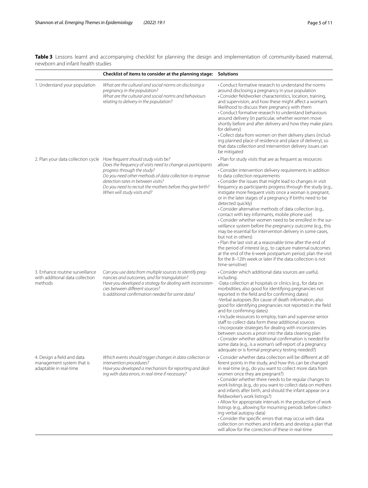<span id="page-5-0"></span>Table 3 Lessons learnt and accompanying checklist for planning the design and implementation of community-based maternal, newborn and infant health studies

|                                                                                   | Checklist of items to consider at the planning stage: Solutions                                                                                                                                                                                                                                                                                                     |                                                                                                                                                                                                                                                                                                                                                                                                                                                                                                                                                                                                                                                                                                                                                                                                                                                                                                                                                                                                                                                     |
|-----------------------------------------------------------------------------------|---------------------------------------------------------------------------------------------------------------------------------------------------------------------------------------------------------------------------------------------------------------------------------------------------------------------------------------------------------------------|-----------------------------------------------------------------------------------------------------------------------------------------------------------------------------------------------------------------------------------------------------------------------------------------------------------------------------------------------------------------------------------------------------------------------------------------------------------------------------------------------------------------------------------------------------------------------------------------------------------------------------------------------------------------------------------------------------------------------------------------------------------------------------------------------------------------------------------------------------------------------------------------------------------------------------------------------------------------------------------------------------------------------------------------------------|
| 1. Understand your population                                                     | What are the cultural and social norms on disclosing a<br>pregnancy in the population?<br>What are the cultural and social norms and behaviours<br>relating to delivery in the population?                                                                                                                                                                          | • Conduct formative research to understand the norms<br>around disclosing a pregnancy in your population<br>• Consider fieldworker characteristics, location, training,<br>and supervision, and how these might affect a woman's<br>likelihood to discuss their pregnancy with them<br>• Conduct formative research to understand behaviours<br>around delivery (in particular, whether women move<br>shortly before and after delivery and how they make plans<br>for delivery)<br>• Collect data from women on their delivery plans (includ-<br>ing planned place of residence and place of delivery), so<br>that data collection and intervention delivery issues can<br>be mitigated                                                                                                                                                                                                                                                                                                                                                            |
|                                                                                   | 2. Plan your data collection cycle How frequent should study visits be?<br>Does the frequency of visits need to change as participants<br>progress through the study?<br>Do you need other methods of data collection to improve<br>detection rates in between visits?<br>Do you need to recruit the mothers before they give birth?<br>When will study visits end? | • Plan for study visits that are as frequent as resources<br>allow<br>• Consider intervention delivery requirements in addition<br>to data collection requirements<br>• Consider the issues that might lead to changes in visit<br>frequency as participants progress through the study (e.g.,<br>instigate more frequent visits once a woman is pregnant,<br>or in the later stages of a pregnancy if births need to be<br>detected quickly)<br>• Consider alternative methods of data collection (e.g.,<br>contact with key informants, mobile phone use)<br>. Consider whether women need to be enrolled in the sur-<br>veillance system before the pregnancy outcome (e.g., this<br>may be essential for intervention delivery in some cases,<br>but not in others)<br>. Plan the last visit at a reasonable time after the end of<br>the period of interest (e.g., to capture maternal outcomes<br>at the end of the 6-week postpartum period, plan the visit<br>for the 8-12th week or later if the data collection is not<br>time-sensitive) |
| 3. Enhance routine surveillance<br>with additional data collection<br>methods     | Can you use data from multiple sources to identify preq-<br>nancies and outcomes, and for triangulation?<br>Have you developed a strategy for dealing with inconsisten-<br>cies between different sources?<br>Is additional confirmation needed for some data?                                                                                                      | • Consider which additional data sources are useful,<br>including:<br>-Data collection at hospitals or clinics (e.g., for data on<br>morbidities; also good for identifying pregnancies not<br>reported in the field and for confirming dates)<br>-Verbal autopsies (for cause of death information; also<br>good for identifying pregnancies not reported in the field<br>and for confirming dates)<br>· Include resources to employ, train and supervise senior<br>staff to collect data form these additional sources<br>· Incorporate strategies for dealing with inconsistencies<br>between sources a priori into the data cleaning plan<br>• Consider whether additional confirmation is needed for<br>some data (e.g., is a woman's self-report of a pregnancy<br>adequate or is formal pregnancy testing needed?)                                                                                                                                                                                                                           |
| 4. Design a field and data<br>management system that is<br>adaptable in real-time | Which events should trigger changes in data collection or<br>intervention procedures?<br>Have you developed a mechanism for reporting and deal-<br>ing with data errors, in real-time if necessary?                                                                                                                                                                 | • Consider whether data collection will be different at dif-<br>ferent points in the study, and how this can be changed<br>in real-time (e.g., do you want to collect more data from<br>women once they are pregnant?)<br>• Consider whether there needs to be regular changes to<br>work listings (e.g., do you want to collect data on mothers<br>and infants after birth, and should the infant appear on a<br>fieldworker's work listings?)<br>• Allow for appropriate intervals in the production of work<br>listings (e.g., allowing for mourning periods before collect-<br>ing verbal autopsy data)<br>• Consider the specific errors that may occur with data<br>collection on mothers and infants and develop a plan that<br>will allow for the correction of these in real-time                                                                                                                                                                                                                                                          |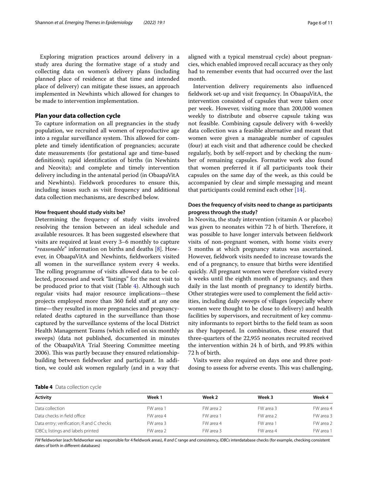Exploring migration practices around delivery in a study area during the formative stage of a study and collecting data on women's delivery plans (including planned place of residence at that time and intended place of delivery) can mitigate these issues, an approach implemented in Newhints which allowed for changes to be made to intervention implementation.

#### **Plan your data collection cycle**

To capture information on all pregnancies in the study population, we recruited all women of reproductive age into a regular surveillance system. This allowed for complete and timely identification of pregnancies; accurate date measurements (for gestational age and time-based definitions); rapid identification of births (in Newhints and Neovita); and complete and timely intervention delivery including in the antenatal period (in ObaapaVitA and Newhints). Fieldwork procedures to ensure this, including issues such as visit frequency and additional data collection mechanisms, are described below.

#### **How frequent should study visits be?**

Determining the frequency of study visits involved resolving the tension between an ideal schedule and available resources. It has been suggested elsewhere that visits are required at least every 3–6 monthly to capture "reasonable" information on births and deaths [\[8\]](#page-10-6). However, in ObaapaVitA and Newhints, fieldworkers visited all women in the surveillance system every 4 weeks. The rolling programme of visits allowed data to be collected, processed and work "listings" for the next visit to be produced prior to that visit (Table [4\)](#page-6-0). Although such regular visits had major resource implications—these projects employed more than 360 field staff at any one time—they resulted in more pregnancies and pregnancyrelated deaths captured in the surveillance than those captured by the surveillance systems of the local District Health Management Teams (which relied on six monthly sweeps) (data not published, documented in minutes of the ObaapaVitA Trial Steering Committee meeting 2006). This was partly because they ensured relationshipbuilding between fieldworker and participant. In addition, we could ask women regularly (and in a way that aligned with a typical menstrual cycle) about pregnancies, which enabled improved recall accuracy as they only had to remember events that had occurred over the last month.

Intervention delivery requirements also influenced fieldwork set-up and visit frequency. In ObaapaVitA, the intervention consisted of capsules that were taken once per week. However, visiting more than 200,000 women weekly to distribute and observe capsule taking was not feasible. Combining capsule delivery with 4-weekly data collection was a feasible alternative and meant that women were given a manageable number of capsules (four) at each visit and that adherence could be checked regularly, both by self-report and by checking the number of remaining capsules. Formative work also found that women preferred it if all participants took their capsules on the same day of the week, as this could be accompanied by clear and simple messaging and meant that participants could remind each other  $[14]$ .

#### **Does the frequency of visits need to change as participants progress through the study?**

In Neovita, the study intervention (vitamin A or placebo) was given to neonates within 72 h of birth. Therefore, it was possible to have longer intervals between fieldwork visits of non-pregnant women, with home visits every 3 months at which pregnancy status was ascertained. However, fieldwork visits needed to increase towards the end of a pregnancy, to ensure that births were identified quickly. All pregnant women were therefore visited every 4 weeks until the eighth month of pregnancy, and then daily in the last month of pregnancy to identify births. Other strategies were used to complement the field activities, including daily sweeps of villages (especially where women were thought to be close to delivery) and health facilities by supervisors, and recruitment of key community informants to report births to the field team as soon as they happened. In combination, these ensured that three-quarters of the 22,955 neonates recruited received the intervention within 24 h of birth, and 99.8% within 72 h of birth.

Visits were also required on days one and three postdosing to assess for adverse events. This was challenging,

#### <span id="page-6-0"></span>**Table 4** Data collection cycle

| <b>Activity</b>                          | Week 1    | Week 2    | Week 3    | Week 4    |
|------------------------------------------|-----------|-----------|-----------|-----------|
| Data collection                          | FW area 1 | FW area 2 | FW area 3 | FW area 4 |
| Data checks in field office              | FW area 4 | FW area 1 | FW area 2 | FW area 3 |
| Data entry; verification; R and C checks | FW area 3 | FW area 4 | FW area 1 | FW area 2 |
| IDBCs; listings and labels printed       | FW area 2 | FW area 3 | FW area 4 | FW area 1 |

FW fieldworker (each fieldworker was responsible for 4 fieldwork areas), R and C range and consistency, IDBCs interdatabase checks (for example, checking consistent dates of birth in different databases)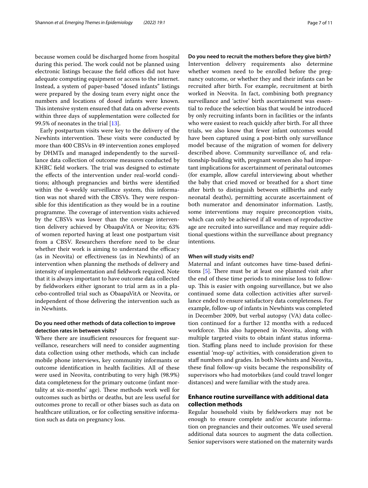because women could be discharged home from hospital during this period. The work could not be planned using electronic listings because the field offices did not have adequate computing equipment or access to the internet. Instead, a system of paper-based "dosed infants" listings were prepared by the dosing team every night once the numbers and locations of dosed infants were known. This intensive system ensured that data on adverse events within three days of supplementation were collected for 99.5% of neonates in the trial [\[13\]](#page-10-10).

Early postpartum visits were key to the delivery of the Newhints intervention. These visits were conducted by more than 400 CBSVs in 49 intervention zones employed by DHMTs and managed independently to the surveillance data collection of outcome measures conducted by KHRC field workers. The trial was designed to estimate the effects of the intervention under real-world conditions; although pregnancies and births were identified within the 4-weekly surveillance system, this information was not shared with the CBSVs. They were responsible for this identification as they would be in a routine programme. The coverage of intervention visits achieved by the CBSVs was lower than the coverage intervention delivery achieved by ObaapaVitA or Neovita; 63% of women reported having at least one postpartum visit from a CBSV. Researchers therefore need to be clear whether their work is aiming to understand the efficacy (as in Neovita) or effectiveness (as in Newhints) of an intervention when planning the methods of delivery and intensity of implementation and fieldwork required. Note that it is always important to have outcome data collected by fieldworkers either ignorant to trial arm as in a placebo-controlled trial such as ObaapaVitA or Neovita, or independent of those delivering the intervention such as in Newhints.

#### **Do you need other methods of data collection to improve detection rates in between visits?**

Where there are insufficient resources for frequent surveillance, researchers will need to consider augmenting data collection using other methods, which can include mobile phone interviews, key community informants or outcome identification in health facilities. All of these were used in Neovita, contributing to very high (98.9%) data completeness for the primary outcome (infant mortality at six-months' age). These methods work well for outcomes such as births or deaths, but are less useful for outcomes prone to recall or other biases such as data on healthcare utilization, or for collecting sensitive information such as data on pregnancy loss.

#### **Do you need to recruit the mothers before they give birth?**

Intervention delivery requirements also determine whether women need to be enrolled before the pregnancy outcome, or whether they and their infants can be recruited after birth. For example, recruitment at birth worked in Neovita. In fact, combining both pregnancy surveillance and 'active' birth ascertainment was essential to reduce the selection bias that would be introduced by only recruiting infants born in facilities or the infants who were easiest to reach quickly after birth. For all three trials, we also know that fewer infant outcomes would have been captured using a post-birth only surveillance model because of the migration of women for delivery described above. Community surveillance of, and relationship-building with, pregnant women also had important implications for ascertainment of perinatal outcomes (for example, allow careful interviewing about whether the baby that cried moved or breathed for a short time after birth to distinguish between stillbirths and early neonatal deaths), permitting accurate ascertainment of both numerator and denominator information. Lastly, some interventions may require preconception visits, which can only be achieved if all women of reproductive age are recruited into surveillance and may require additional questions within the surveillance about pregnancy intentions.

#### **When will study visits end?**

Maternal and infant outcomes have time-based definitions [[5\]](#page-10-3). There must be at least one planned visit after the end of these time periods to minimise loss to followup. This is easier with ongoing surveillance, but we also continued some data collection activities after surveillance ended to ensure satisfactory data completeness. For example, follow-up of infants in Newhints was completed in December 2009, but verbal autopsy (VA) data collection continued for a further 12 months with a reduced workforce. This also happened in Neovita, along with multiple targeted visits to obtain infant status information. Staffing plans need to include provision for these essential 'mop-up' activities, with consideration given to staff numbers and grades. In both Newhints and Neovita, these final follow-up visits became the responsibility of supervisors who had motorbikes (and could travel longer distances) and were familiar with the study area.

#### **Enhance routine surveillance with additional data collection methods**

Regular household visits by fieldworkers may not be enough to ensure complete and/or accurate information on pregnancies and their outcomes. We used several additional data sources to augment the data collection. Senior supervisors were stationed on the maternity wards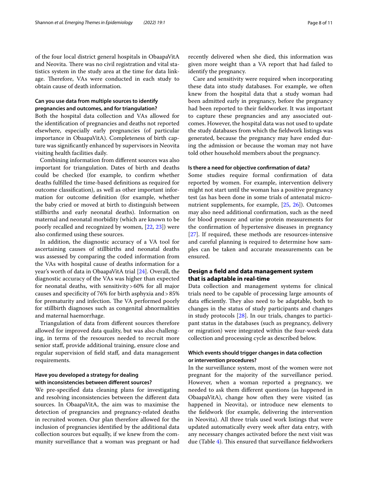of the four local district general hospitals in ObaapaVitA and Neovita. There was no civil registration and vital statistics system in the study area at the time for data linkage. Therefore, VAs were conducted in each study to obtain cause of death information.

#### **Can you use data from multiple sources to identify pregnancies and outcomes, and for triangulation?**

Both the hospital data collection and VAs allowed for the identification of pregnancies and deaths not reported elsewhere, especially early pregnancies (of particular importance in ObaapaVitA). Completeness of birth capture was significantly enhanced by supervisors in Neovita visiting health facilities daily.

Combining information from different sources was also important for triangulation. Dates of birth and deaths could be checked (for example, to confirm whether deaths fulfilled the time-based definitions as required for outcome classification), as well as other important information for outcome definition (for example, whether the baby cried or moved at birth to distinguish between stillbirths and early neonatal deaths). Information on maternal and neonatal morbidity (which are known to be poorly recalled and recognized by women, [\[22](#page-11-7), [23\]](#page-11-8)) were also confirmed using these sources.

In addition, the diagnostic accuracy of a VA tool for ascertaining causes of stillbirths and neonatal deaths was assessed by comparing the coded information from the VAs with hospital cause of deaths information for a year's worth of data in ObaapaVitA trial [[24\]](#page-11-9). Overall, the diagnostic accuracy of the VAs was higher than expected for neonatal deaths, with sensitivity > 60% for all major causes and specificity of 76% for birth asphyxia and > 85% for prematurity and infection. The VA performed poorly for stillbirth diagnoses such as congenital abnormalities and maternal haemorrhage.

Triangulation of data from different sources therefore allowed for improved data quality, but was also challenging, in terms of the resources needed to recruit more senior staff, provide additional training, ensure close and regular supervision of field staff, and data management requirements.

#### **Have you developed a strategy for dealing with inconsistencies between different sources?**

We pre-specified data cleaning plans for investigating and resolving inconsistencies between the different data sources. In ObaapaVitA, the aim was to maximise the detection of pregnancies and pregnancy-related deaths in recruited women. Our plan therefore allowed for the inclusion of pregnancies identified by the additional data collection sources but equally, if we knew from the community surveillance that a woman was pregnant or had

recently delivered when she died, this information was given more weight than a VA report that had failed to identify the pregnancy.

Care and sensitivity were required when incorporating these data into study databases. For example, we often knew from the hospital data that a study woman had been admitted early in pregnancy, before the pregnancy had been reported to their fieldworker. It was important to capture these pregnancies and any associated outcomes. However, the hospital data was not used to update the study databases from which the fieldwork listings was generated, because the pregnancy may have ended during the admission or because the woman may not have told other household members about the pregnancy.

#### **Is there a need for objective confirmation of data?**

Some studies require formal confirmation of data reported by women. For example, intervention delivery might not start until the woman has a positive pregnancy test (as has been done in some trials of antenatal micronutrient supplements, for example, [\[25](#page-11-10), [26\]](#page-11-11)). Outcomes may also need additional confirmation, such as the need for blood pressure and urine protein measurements for the confirmation of hypertensive diseases in pregnancy [[27\]](#page-11-12). If required, these methods are resources-intensive and careful planning is required to determine how samples can be taken and accurate measurements can be ensured.

#### **Design a field and data management system that is adaptable in real‑time**

Data collection and management systems for clinical trials need to be capable of processing large amounts of data efficiently. They also need to be adaptable, both to changes in the status of study participants and changes in study protocols [\[28](#page-11-13)]. In our trials, changes to participant status in the databases (such as pregnancy, delivery or migration) were integrated within the four-week data collection and processing cycle as described below.

#### **Which events should trigger changes in data collection or intervention procedures?**

In the surveillance system, most of the women were not pregnant for the majority of the surveillance period. However, when a woman reported a pregnancy, we needed to ask them different questions (as happened in ObaapaVitA), change how often they were visited (as happened in Neovita), or introduce new elements to the fieldwork (for example, delivering the intervention in Neovita). All three trials used work listings that were updated automatically every week after data entry, with any necessary changes activated before the next visit was due (Table [4](#page-6-0)). This ensured that surveillance fieldworkers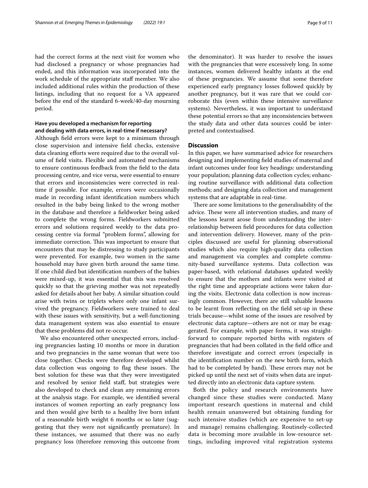had the correct forms at the next visit for women who had disclosed a pregnancy or whose pregnancies had ended, and this information was incorporated into the work schedule of the appropriate staff member. We also included additional rules within the production of these listings, including that no request for a VA appeared before the end of the standard 6-week/40-day mourning period.

#### **Have you developed a mechanism for reporting and dealing with data errors, in real‑time if necessary?**

Although field errors were kept to a minimum through close supervision and intensive field checks, extensive data cleaning efforts were required due to the overall volume of field visits. Flexible and automated mechanisms to ensure continuous feedback from the field to the data processing centre, and vice versa, were essential to ensure that errors and inconsistencies were corrected in realtime if possible. For example, errors were occasionally made in recording infant identification numbers which resulted in the baby being linked to the wrong mother in the database and therefore a fieldworker being asked to complete the wrong forms. Fieldworkers submitted errors and solutions required weekly to the data processing centre via formal "problem forms", allowing for immediate correction. This was important to ensure that encounters that may be distressing to study participants were prevented. For example, two women in the same household may have given birth around the same time. If one child died but identification numbers of the babies were mixed-up, it was essential that this was resolved quickly so that the grieving mother was not repeatedly asked for details about her baby. A similar situation could arise with twins or triplets where only one infant survived the pregnancy. Fieldworkers were trained to deal with these issues with sensitivity, but a well-functioning data management system was also essential to ensure that these problems did not re-occur.

We also encountered other unexpected errors, including pregnancies lasting 10 months or more in duration and two pregnancies in the same woman that were too close together. Checks were therefore developed whilst data collection was ongoing to flag these issues. The best solution for these was that they were investigated and resolved by senior field staff, but strategies were also developed to check and clean any remaining errors at the analysis stage. For example, we identified several instances of women reporting an early pregnancy loss and then would give birth to a healthy live born infant of a reasonable birth weight 6 months or so later (suggesting that they were not significantly premature). In these instances, we assumed that there was no early pregnancy loss (therefore removing this outcome from the denominator). It was harder to resolve the issues with the pregnancies that were excessively long. In some instances, women delivered healthy infants at the end of these pregnancies. We assume that some therefore experienced early pregnancy losses followed quickly by another pregnancy, but it was rare that we could corroborate this (even within these intensive surveillance systems). Nevertheless, it was important to understand these potential errors so that any inconsistencies between the study data and other data sources could be interpreted and contextualised.

#### **Discussion**

In this paper, we have summarised advice for researchers designing and implementing field studies of maternal and infant outcomes under four key headings: understanding your population; planning data collection cycles; enhancing routine surveillance with additional data collection methods; and designing data collection and management systems that are adaptable in real-time.

There are some limitations to the generalisability of the advice. These were all intervention studies, and many of the lessons learnt arose from understanding the interrelationship between field procedures for data collection and intervention delivery. However, many of the principles discussed are useful for planning observational studies which also require high-quality data collection and management via complex and complete community-based surveillance systems. Data collection was paper-based, with relational databases updated weekly to ensure that the mothers and infants were visited at the right time and appropriate actions were taken during the visits. Electronic data collection is now increasingly common. However, there are still valuable lessons to be learnt from reflecting on the field set-up in these trials because—whilst some of the issues are resolved by electronic data capture—others are not or may be exaggerated. For example, with paper forms, it was straightforward to compare reported births with registers of pregnancies that had been collated in the field office and therefore investigate and correct errors (especially in the identification number on the new birth form, which had to be completed by hand). These errors may not be picked up until the next set of visits when data are inputted directly into an electronic data capture system.

Both the policy and research environments have changed since these studies were conducted. Many important research questions in maternal and child health remain unanswered but obtaining funding for such intensive studies (which are expensive to set-up and manage) remains challenging. Routinely-collected data is becoming more available in low-resource settings, including improved vital registration systems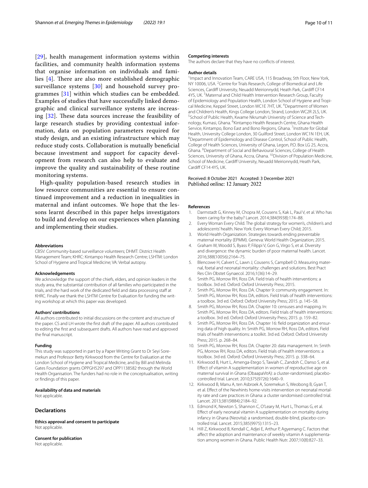[[29](#page-11-14)], health management information systems within facilities, and community health information systems that organise information on individuals and families [[4](#page-10-2)]. There are also more established demographic surveillance systems [[30\]](#page-11-15) and household survey programmes [\[31](#page-11-16)] within which studies can be embedded. Examples of studies that have successfully linked demographic and clinical surveillance systems are increasing [[32](#page-11-17)]. These data sources increase the feasibility of large research studies by providing contextual information, data on population parameters required for study design, and an existing infrastructure which may reduce study costs. Collaboration is mutually beneficial because investment and support for capacity development from research can also help to evaluate and improve the quality and sustainability of these routine monitoring systems.

High-quality population-based research studies in low resource communities are essential to ensure continued improvement and a reduction in inequalities in maternal and infant outcomes. We hope that the lessons learnt described in this paper helps investigators to build and develop on our experiences when planning and implementing their studies.

#### **Abbreviations**

CBSV: Community-based surveillance volunteers; DHMT: District Health Management Team; KHRC: Kintampo Health Research Centre; LSHTM: London School of Hygiene and Tropical Medicine; VA: Verbal autopsy.

#### **Acknowledgements**

We acknowledge the support of the chiefs, elders, and opinion leaders in the study area, the substantial contribution of all families who participated in the trials, and the hard work of the dedicated field and data processing staff at KHRC. Finally we thank the LSHTM Centre for Evaluation for funding the writing workshop at which this paper was developed.

#### **Authors' contributions**

All authors contributed to initial discussions on the content and structure of the paper. CS and LH wrote the first draft of the paper. All authors contributed to editing the first and subsequent drafts. All authors have read and approved the final manuscript.

#### **Funding**

This study was supported in part by a Paper Writing Grant to Dr Seyi Soremekun and Professor Betty Kirkwood from the Centre for Evaluation at the London School of Hygiene and Tropical Medicine, and by Bill and Melinda Gates Foundation grants OPPGH5297 and OPP1138582 through the World Health Organisation. The funders had no role in the conceptualisation, writing or findings of this paper.

#### **Availability of data and materials**

Not applicable.

#### **Declarations**

**Ethics approval and consent to participate** Not applicable.

**Consent for publication** Not applicable.

#### **Competing interests**

The authors declare that they have no conflicts of interest.

#### **Author details**

<sup>1</sup> Impact and Innovation Team, CARE USA, 115 Broadway, 5th Floor, New York, NY 10006, USA. <sup>2</sup> Centre for Trials Research, College of Biomedical and Life Sciences, Cardiff University, Neuadd Meirionnydd, Heath Park, Cardiff CF14 4YS, UK.<sup>3</sup> Maternal and Child Health Intervention Research Group, Faculty of Epidemiology and Population Health, London School of Hygiene and Tropical Medicine, Keppel Street, London WC1E 7HT, UK. <sup>4</sup> Department of Women and Children's Health, Kings College London, Strand, London WC2R 2LS, UK. 5 School of Public Health, Kwame Nkrumah University of Science and Technology, Kumasi, Ghana. <sup>6</sup>Kintampo Health Research Centre, Ghana Health Service, Kintampo, Bono East and Bono Regions, Ghana. <sup>7</sup> Institute for Global Health, University College London, 30 Guilford Street, London WC1N 1EH, UK. 8 Department of Epidemiology and Disease Control, School of Public Health, College of Health Sciences, University of Ghana, Legon, P.O. Box LG 25, Accra, Ghana. <sup>9</sup> Department of Social and Behavioural Sciences, College of Health Sciences, University of Ghana, Accra, Ghana. <sup>10</sup> Division of Population Medicine, School of Medicine, Cardiff University, Neuadd Meirionnydd, Heath Park, Cardiff CF14 4YS, UK.

# Received: 8 October 2021 Accepted: 3 December 2021

#### **References**

- <span id="page-10-0"></span> 1. Darmstadt G, Kinney M, Chopra M, Cousens S, Kak L, Paul V, et al. Who has been caring for the baby? Lancet. 2014;384(9938):174–88.
- Every Woman Every Child. The global strategy for women's, children's and adolescents' health. New York: Every Woman Every Child; 2015.
- <span id="page-10-1"></span> 3. World Health Organization. Strategies towards ending preventable maternal mortality (EPMM). Geneva: World Health Organization; 2015.
- <span id="page-10-2"></span> 4. Graham W, Woodd S, Byass P, Filippi V, Gon G, Virgo S, et al. Diversity and divergence: the dynamic burden of poor maternal health. Lancet. 2016;388(10056):2164–75.
- <span id="page-10-3"></span> 5. Blencowe H, Calvert C, Lawn J, Cousens S, Campbell O. Measuring maternal, foetal and neonatal mortality: challenges and solutions. Best Pract Res Clin Obstet Gynaecol. 2016;1(36):14–29.
- <span id="page-10-4"></span> 6. Smith PG, Morrow RH, Ross DA. Field trials of health interventions: a toolbox. 3rd ed. Oxford: Oxford University Press; 2015.
- <span id="page-10-5"></span> 7. Smith PG, Morrow RH, Ross DA. Chapter 9: community engagement. In: Smith PG, Morrow RH, Ross DA, editors. Field trials of health interventions: a toolbox. 3rd ed. Oxford: Oxford University Press; 2015. p. 145–58.
- <span id="page-10-6"></span> 8. Smith PG, Morrow RH, Ross DA. Chapter 10: censuses and mapping. In: Smith PG, Morrow RH, Ross DA, editors. Field trials of health interventions: a toolbox. 3rd ed. Oxford: Oxford University Press; 2015. p. 159–82.
- <span id="page-10-7"></span>Smith PG, Morrow RH, Ross DA. Chapter 16: field organization and ensuring data of high quality. In: Smith PG, Morrow RH, Ross DA, editors. Field trials of health interventions: a toolkit. 3rd ed. Oxford: Oxford University Press; 2015. p. 268–84.
- <span id="page-10-8"></span> 10. Smith PG, Morrow RH, Ross DA. Chapter 20: data management. In: Smith PG, Morrow RH, Ross DA, editors. Field trials of health interventions: a toolbox. 3rd ed. Oxford: Oxford University Press; 2015. p. 338–64.
- <span id="page-10-9"></span> 11. Kirkwood B, Hurt L, Amenga-Etego S, Tawiah C, Zandoh C, Danso S, et al. Effect of vitamin A supplementation in women of reproductive age on maternal survival in Ghana (ObaapaVitA): a cluster-randomised, placebocontrolled trial. Lancet. 2010;375(9726):1640–9.
- 12. Kirkwood B, Manu A, ten Asbroek A, Soremekun S, Weobong B, Gyan T, et al. Effect of the Newhints home-visits intervention on neonatal mortality rate and care practices in Ghana: a cluster randomised controlled trial. Lancet. 2013;381(9884):2184–92.
- <span id="page-10-10"></span> 13. Edmond K, Newton S, Shannon C, O'Leary M, Hurt L, Thomas G, et al. Effect of early neonatal vitamin A supplementation on mortality during infancy in Ghana (Neovita): a randomised, double-blind, placebo-controlled trial. Lancet. 2015;385(9975):1315–23.
- <span id="page-10-11"></span> 14. Hill Z, Kirkwood B, Kendall C, Adjei E, Arthur P, Agyemang C. Factors that affect the adoption and maintenance of weekly vitamin A supplementation among women in Ghana. Public Health Nutr. 2007;10(8):827–33.